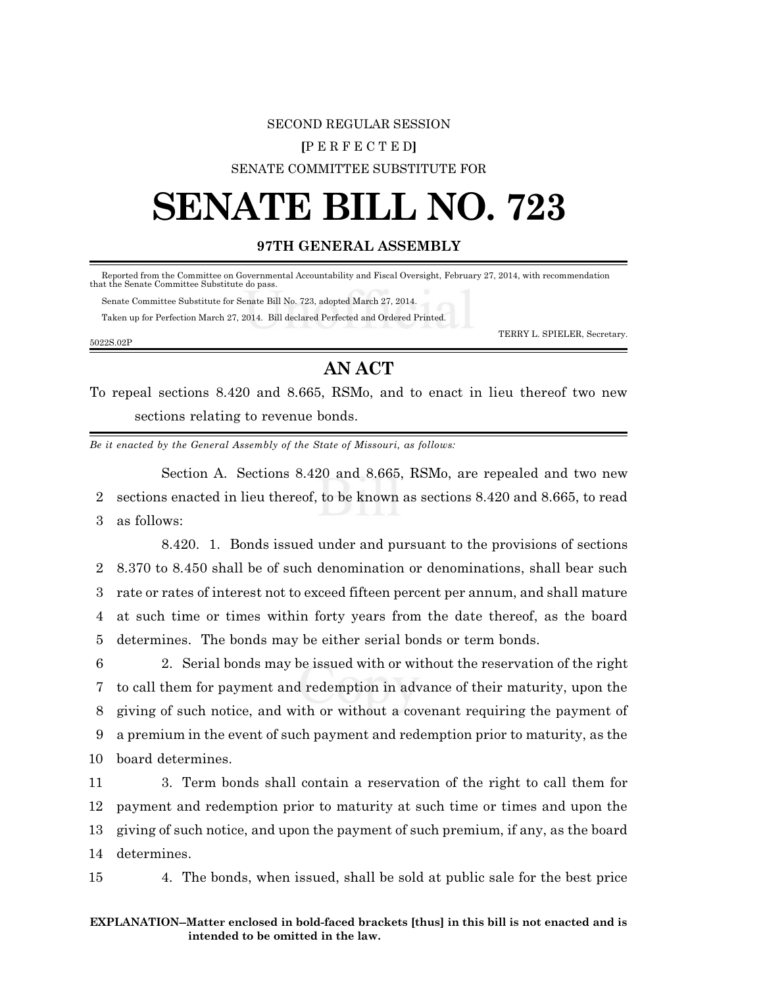# SECOND REGULAR SESSION **[**P E R F E C T E D**]** SENATE COMMITTEE SUBSTITUTE FOR

# **SENATE BILL NO. 723**

## **97TH GENERAL ASSEMBLY**

Reported from the Committee on Governmental Accountability and Fiscal Oversight, February 27, 2014, with recommendation that the Senate Committee Substitute do pass.

 Senate Committee Substitute for Senate Bill No. 723, adopted March 27, 2014. Taken up for Perfection March 27, 2014. Bill declared Perfected and Ordered Printed.

TERRY L. SPIELER, Secretary.

### 5022S.02P

# **AN ACT**

To repeal sections 8.420 and 8.665, RSMo, and to enact in lieu thereof two new sections relating to revenue bonds.

*Be it enacted by the General Assembly of the State of Missouri, as follows:*

Section A. Sections 8.420 and 8.665, RSMo, are repealed and two new 2 sections enacted in lieu thereof, to be known as sections 8.420 and 8.665, to read 3 as follows:

8.420. 1. Bonds issued under and pursuant to the provisions of sections 8.370 to 8.450 shall be of such denomination or denominations, shall bear such rate or rates of interest not to exceed fifteen percent per annum, and shall mature at such time or times within forty years from the date thereof, as the board determines. The bonds may be either serial bonds or term bonds.

 2. Serial bonds may be issued with or without the reservation of the right to call them for payment and redemption in advance of their maturity, upon the giving of such notice, and with or without a covenant requiring the payment of a premium in the event of such payment and redemption prior to maturity, as the board determines.

 3. Term bonds shall contain a reservation of the right to call them for payment and redemption prior to maturity at such time or times and upon the giving of such notice, and upon the payment of such premium, if any, as the board determines.

15 4. The bonds, when issued, shall be sold at public sale for the best price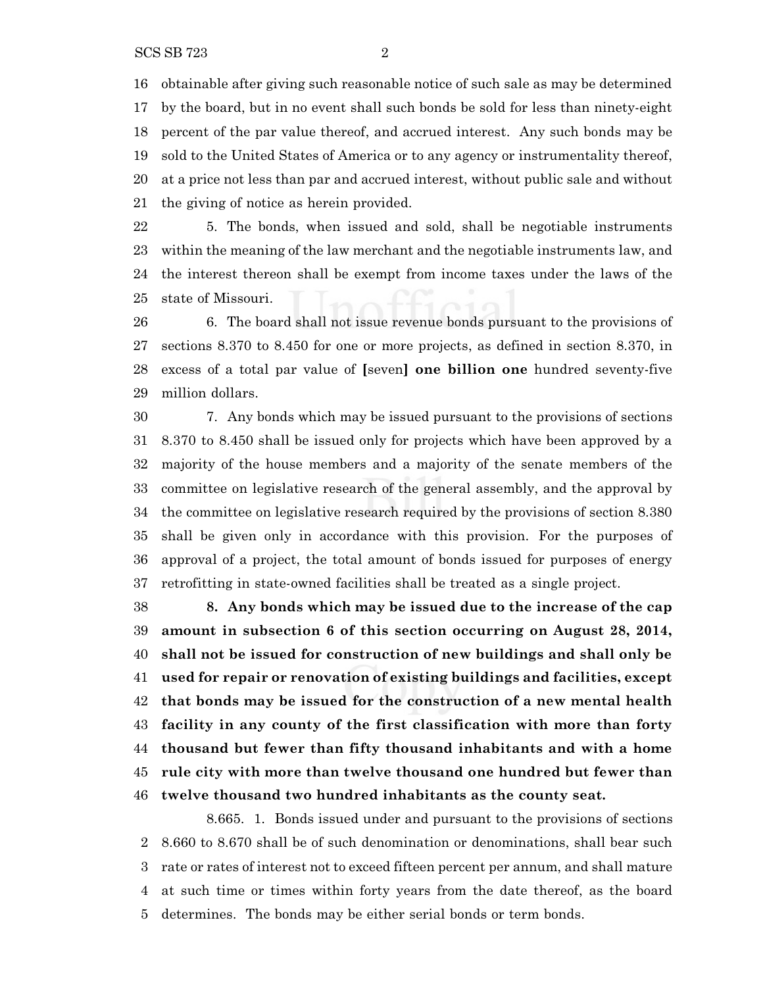obtainable after giving such reasonable notice of such sale as may be determined by the board, but in no event shall such bonds be sold for less than ninety-eight percent of the par value thereof, and accrued interest. Any such bonds may be sold to the United States of America or to any agency or instrumentality thereof, at a price not less than par and accrued interest, without public sale and without the giving of notice as herein provided.

 5. The bonds, when issued and sold, shall be negotiable instruments within the meaning of the law merchant and the negotiable instruments law, and the interest thereon shall be exempt from income taxes under the laws of the state of Missouri.

 6. The board shall not issue revenue bonds pursuant to the provisions of sections 8.370 to 8.450 for one or more projects, as defined in section 8.370, in excess of a total par value of **[**seven**] one billion one** hundred seventy-five million dollars.

 7. Any bonds which may be issued pursuant to the provisions of sections 8.370 to 8.450 shall be issued only for projects which have been approved by a majority of the house members and a majority of the senate members of the committee on legislative research of the general assembly, and the approval by the committee on legislative research required by the provisions of section 8.380 shall be given only in accordance with this provision. For the purposes of approval of a project, the total amount of bonds issued for purposes of energy retrofitting in state-owned facilities shall be treated as a single project.

 **8. Any bonds which may be issued due to the increase of the cap amount in subsection 6 of this section occurring on August 28, 2014, shall not be issued for construction of new buildings and shall only be used for repair or renovation of existing buildings and facilities, except that bonds may be issued for the construction of a new mental health facility in any county of the first classification with more than forty thousand but fewer than fifty thousand inhabitants and with a home rule city with more than twelve thousand one hundred but fewer than twelve thousand two hundred inhabitants as the county seat.**

8.665. 1. Bonds issued under and pursuant to the provisions of sections 8.660 to 8.670 shall be of such denomination or denominations, shall bear such rate or rates of interest not to exceed fifteen percent per annum, and shall mature at such time or times within forty years from the date thereof, as the board determines. The bonds may be either serial bonds or term bonds.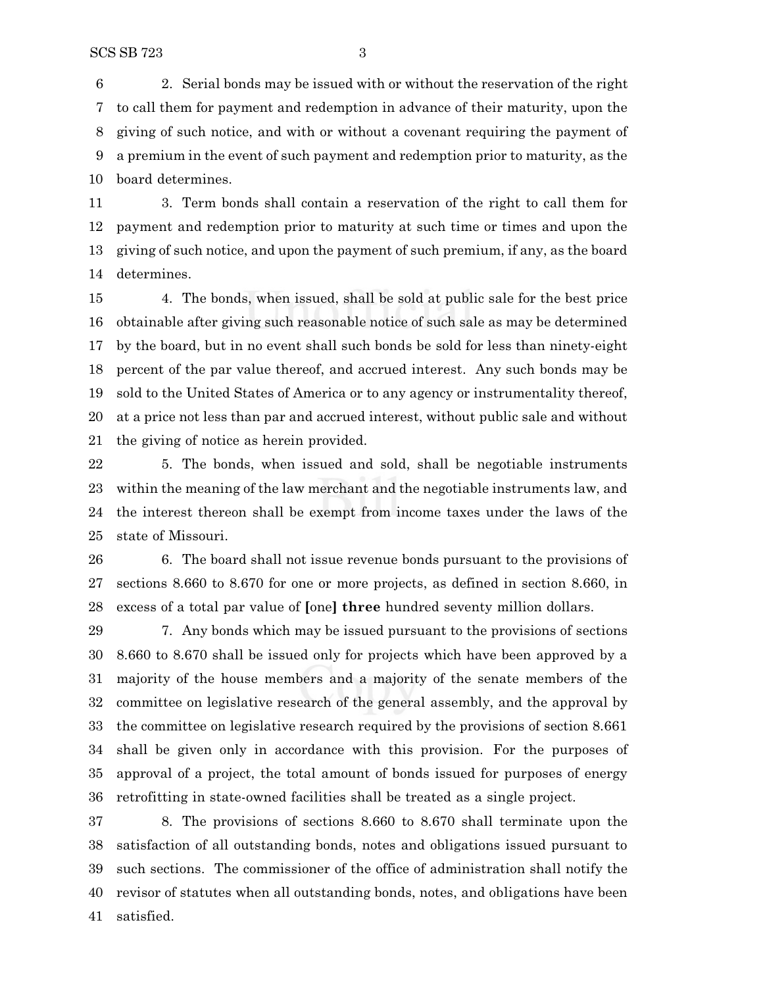2. Serial bonds may be issued with or without the reservation of the right to call them for payment and redemption in advance of their maturity, upon the giving of such notice, and with or without a covenant requiring the payment of a premium in the event of such payment and redemption prior to maturity, as the board determines.

 3. Term bonds shall contain a reservation of the right to call them for payment and redemption prior to maturity at such time or times and upon the giving of such notice, and upon the payment of such premium, if any, as the board determines.

 4. The bonds, when issued, shall be sold at public sale for the best price obtainable after giving such reasonable notice of such sale as may be determined by the board, but in no event shall such bonds be sold for less than ninety-eight percent of the par value thereof, and accrued interest. Any such bonds may be sold to the United States of America or to any agency or instrumentality thereof, at a price not less than par and accrued interest, without public sale and without the giving of notice as herein provided.

 5. The bonds, when issued and sold, shall be negotiable instruments within the meaning of the law merchant and the negotiable instruments law, and the interest thereon shall be exempt from income taxes under the laws of the state of Missouri.

 6. The board shall not issue revenue bonds pursuant to the provisions of sections 8.660 to 8.670 for one or more projects, as defined in section 8.660, in excess of a total par value of **[**one**] three** hundred seventy million dollars.

 7. Any bonds which may be issued pursuant to the provisions of sections 8.660 to 8.670 shall be issued only for projects which have been approved by a majority of the house members and a majority of the senate members of the committee on legislative research of the general assembly, and the approval by the committee on legislative research required by the provisions of section 8.661 shall be given only in accordance with this provision. For the purposes of approval of a project, the total amount of bonds issued for purposes of energy retrofitting in state-owned facilities shall be treated as a single project.

 8. The provisions of sections 8.660 to 8.670 shall terminate upon the satisfaction of all outstanding bonds, notes and obligations issued pursuant to such sections. The commissioner of the office of administration shall notify the revisor of statutes when all outstanding bonds, notes, and obligations have been satisfied.